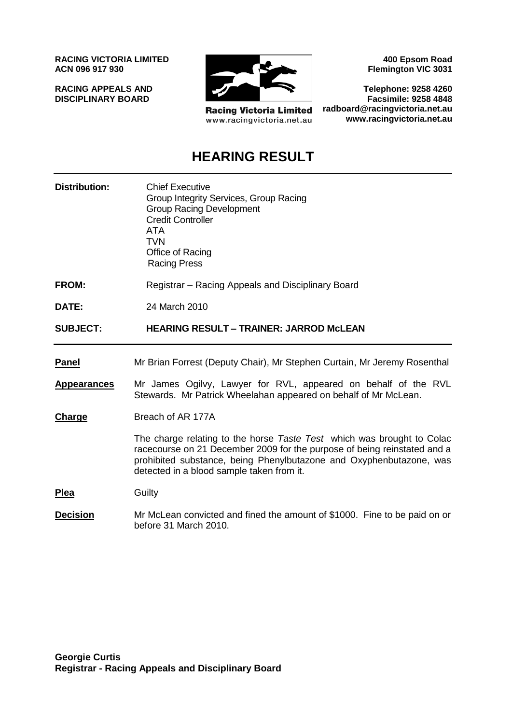**RACING VICTORIA LIMITED ACN 096 917 930**

**RACING APPEALS AND DISCIPLINARY BOARD**



**Racing Victoria Limited** www.racingvictoria.net.au

**400 Epsom Road Flemington VIC 3031**

**Telephone: 9258 4260 Facsimile: 9258 4848 radboard@racingvictoria.net.au www.racingvictoria.net.au**

## **HEARING RESULT**

| <b>Distribution:</b> | <b>Chief Executive</b><br>Group Integrity Services, Group Racing<br><b>Group Racing Development</b><br><b>Credit Controller</b><br><b>ATA</b><br><b>TVN</b><br>Office of Racing<br><b>Racing Press</b>                                                                 |
|----------------------|------------------------------------------------------------------------------------------------------------------------------------------------------------------------------------------------------------------------------------------------------------------------|
| <b>FROM:</b>         | Registrar – Racing Appeals and Disciplinary Board                                                                                                                                                                                                                      |
| DATE:                | 24 March 2010                                                                                                                                                                                                                                                          |
| <b>SUBJECT:</b>      | <b>HEARING RESULT - TRAINER: JARROD MCLEAN</b>                                                                                                                                                                                                                         |
| <b>Panel</b>         | Mr Brian Forrest (Deputy Chair), Mr Stephen Curtain, Mr Jeremy Rosenthal                                                                                                                                                                                               |
| <b>Appearances</b>   | Mr James Ogilvy, Lawyer for RVL, appeared on behalf of the RVL<br>Stewards. Mr Patrick Wheelahan appeared on behalf of Mr McLean.                                                                                                                                      |
| <b>Charge</b>        | Breach of AR 177A                                                                                                                                                                                                                                                      |
|                      | The charge relating to the horse Taste Test which was brought to Colac<br>racecourse on 21 December 2009 for the purpose of being reinstated and a<br>prohibited substance, being Phenylbutazone and Oxyphenbutazone, was<br>detected in a blood sample taken from it. |
| <u>Plea</u>          | Guilty                                                                                                                                                                                                                                                                 |
| <u>Decision</u>      | Mr McLean convicted and fined the amount of \$1000. Fine to be paid on or<br>before 31 March 2010.                                                                                                                                                                     |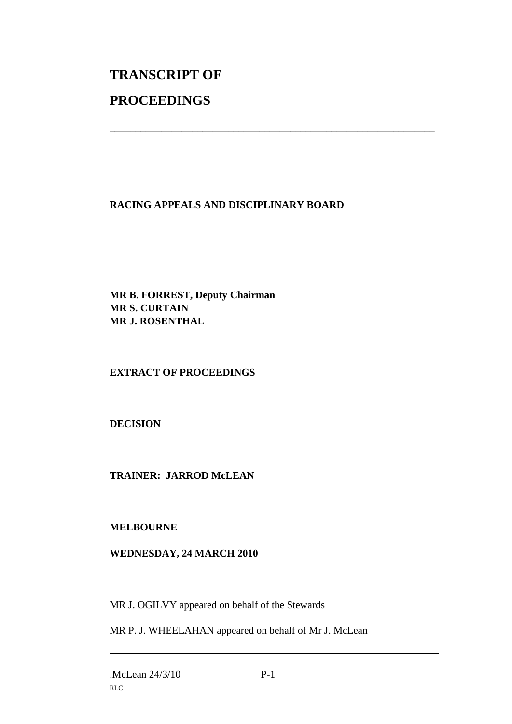# **TRANSCRIPT OF PROCEEDINGS**

#### **RACING APPEALS AND DISCIPLINARY BOARD**

\_\_\_\_\_\_\_\_\_\_\_\_\_\_\_\_\_\_\_\_\_\_\_\_\_\_\_\_\_\_\_\_\_\_\_\_\_\_\_\_\_\_\_\_\_\_\_\_\_\_\_\_\_\_\_\_\_\_\_\_\_\_\_

**MR B. FORREST, Deputy Chairman MR S. CURTAIN MR J. ROSENTHAL**

### **EXTRACT OF PROCEEDINGS**

**DECISION**

**TRAINER: JARROD McLEAN**

**MELBOURNE**

#### **WEDNESDAY, 24 MARCH 2010**

MR J. OGILVY appeared on behalf of the Stewards

MR P. J. WHEELAHAN appeared on behalf of Mr J. McLean